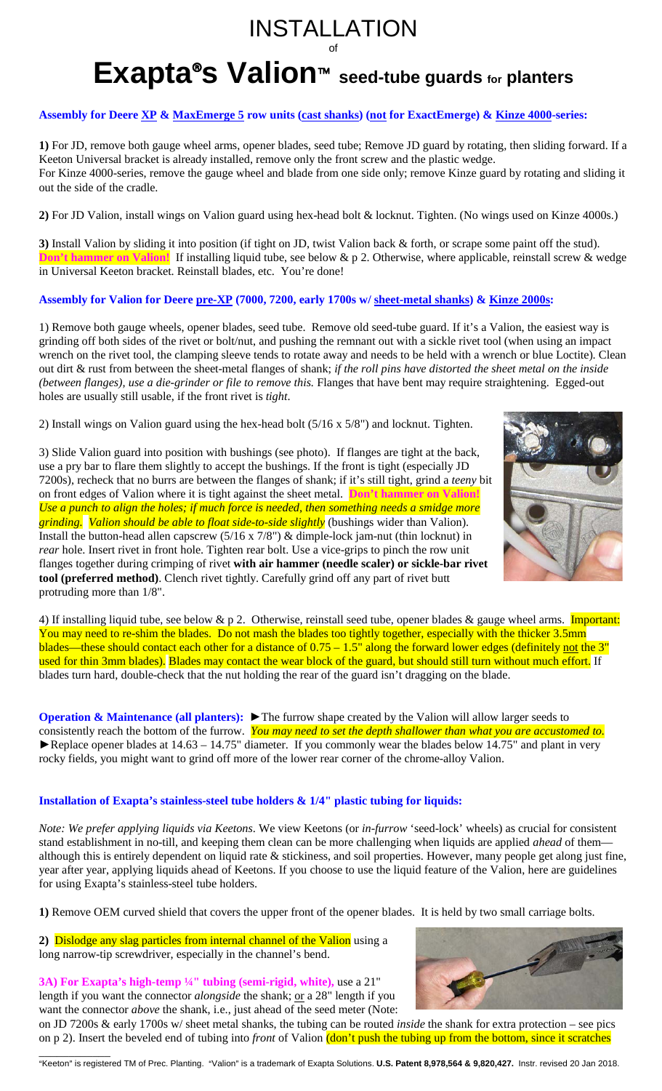# INSTALLATION of

# **Exapta®s Valion**<sup>™</sup> seed-tube guards for planters

## **Assembly for Deere XP & MaxEmerge 5 row units (cast shanks) (not for ExactEmerge) & Kinze 4000-series:**

**1)** For JD, remove both gauge wheel arms, opener blades, seed tube; Remove JD guard by rotating, then sliding forward. If a Keeton Universal bracket is already installed, remove only the front screw and the plastic wedge. For Kinze 4000-series, remove the gauge wheel and blade from one side only; remove Kinze guard by rotating and sliding it out the side of the cradle.

**2)** For JD Valion, install wings on Valion guard using hex-head bolt & locknut. Tighten. (No wings used on Kinze 4000s.)

**3)** Install Valion by sliding it into position (if tight on JD, twist Valion back & forth, or scrape some paint off the stud). **Don't hammer on Valion!** If installing liquid tube, see below & p 2. Otherwise, where applicable, reinstall screw & wedge in Universal Keeton bracket. Reinstall blades, etc. You're done!

### **Assembly for Valion for Deere pre-XP (7000, 7200, early 1700s w/ sheet-metal shanks) & Kinze 2000s:**

1) Remove both gauge wheels, opener blades, seed tube. Remove old seed-tube guard. If it's a Valion, the easiest way is grinding off both sides of the rivet or bolt/nut, and pushing the remnant out with a sickle rivet tool (when using an impact wrench on the rivet tool, the clamping sleeve tends to rotate away and needs to be held with a wrench or blue Loctite). Clean out dirt & rust from between the sheet-metal flanges of shank; *if the roll pins have distorted the sheet metal on the inside (between flanges), use a die-grinder or file to remove this.* Flanges that have bent may require straightening. Egged-out holes are usually still usable, if the front rivet is *tight*.

2) Install wings on Valion guard using the hex-head bolt (5/16 x 5/8") and locknut. Tighten.

3) Slide Valion guard into position with bushings (see photo). If flanges are tight at the back, use a pry bar to flare them slightly to accept the bushings. If the front is tight (especially JD 7200s), recheck that no burrs are between the flanges of shank; if it's still tight, grind a *teeny* bit on front edges of Valion where it is tight against the sheet metal. **Don't hammer on Valion!** *Use a punch to align the holes; if much force is needed, then something needs a smidge more grinding. Valion should be able to float side-to-side slightly* (bushings wider than Valion). Install the button-head allen capscrew (5/16 x 7/8") & dimple-lock jam-nut (thin locknut) in *rear* hole. Insert rivet in front hole. Tighten rear bolt. Use a vice-grips to pinch the row unit flanges together during crimping of rivet **with air hammer (needle scaler) or sickle-bar rivet tool (preferred method)**. Clench rivet tightly. Carefully grind off any part of rivet butt protruding more than 1/8".



**Operation & Maintenance (all planters):** ► The furrow shape created by the Valion will allow larger seeds to consistently reach the bottom of the furrow. *You may need to set the depth shallower than what you are accustomed to.* ►Replace opener blades at 14.63 – 14.75" diameter. If you commonly wear the blades below 14.75" and plant in very rocky fields, you might want to grind off more of the lower rear corner of the chrome-alloy Valion.

### **Installation of Exapta's stainless-steel tube holders & 1/4" plastic tubing for liquids:**

*Note: We prefer applying liquids via Keetons*. We view Keetons (or *in-furrow* 'seed-lock' wheels) as crucial for consistent stand establishment in no-till, and keeping them clean can be more challenging when liquids are applied *ahead* of them although this is entirely dependent on liquid rate & stickiness, and soil properties. However, many people get along just fine, year after year, applying liquids ahead of Keetons. If you choose to use the liquid feature of the Valion, here are guidelines for using Exapta's stainless-steel tube holders.

**1)** Remove OEM curved shield that covers the upper front of the opener blades. It is held by two small carriage bolts.

**2)** Dislodge any slag particles from internal channel of the Valion using a long narrow-tip screwdriver, especially in the channel's bend.

**3A) For Exapta's high-temp ¼" tubing (semi-rigid, white),** use a 21" length if you want the connector *alongside* the shank; <u>or</u> a 28" length if you want the connector *above* the shank, i.e., just ahead of the seed meter (Note:

on JD 7200s & early 1700s w/ sheet metal shanks, the tubing can be routed *inside* the shank for extra protection – see pics on p 2). Insert the beveled end of tubing into *front* of Valion (don't push the tubing up from the bottom, since it scratches





\_\_\_\_\_\_\_\_\_\_\_\_ AKeeton@ is registered TM of Prec. Planting. AValion@ is a trademark of Exapta Solutions. **U.S. Patent 8,978,564 & 9,820,427.** Instr. revised 20 Jan 2018.